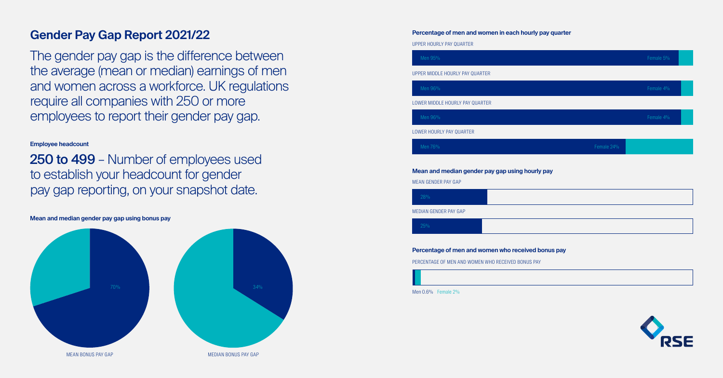## **Gender Pay Gap Report 2021/22**

The gender pay gap is the difference between the average (mean or median) earnings of men and women across a workforce. UK regulations require all companies with 250 or more employees to report their gender pay gap.

**Employee headcount**

250 to 499 – Number of employees used to establish your headcount for gender pay gap reporting, on your snapshot date.

**Percentage of men and women in each hourly pay quarter**

**Mean and median gender pay gap using bonus pay**

UPPER HOURLY PAY QUARTER

UPPER MIDDLE HOURLY PAY QUARTER

LOWER MIDDLE HOURLY PAY QUARTER

LOWER HOURLY PAY QUARTER

Men 76%

Men 96%

Men 96%

Men 95%

|          |            | Female 5% |  |
|----------|------------|-----------|--|
|          |            |           |  |
|          |            | Female 4% |  |
|          |            |           |  |
|          |            | Female 4% |  |
|          |            |           |  |
|          | Female 24% |           |  |
|          |            |           |  |
| pay      |            |           |  |
|          |            |           |  |
|          |            |           |  |
|          |            |           |  |
|          |            |           |  |
| onus pay |            |           |  |
|          |            |           |  |
|          |            |           |  |



### **Mean and median gender pay gap using hourly pay**

MEAN GENDER PAY GAP

MEDIAN GENDER PAY GAP

28%

25%

### **Percentage of men and women who received be**



PERCENTAGE OF MEN AND WOMEN WHO RECEIVED BONUS PAY

Men 0.6% Female 2%